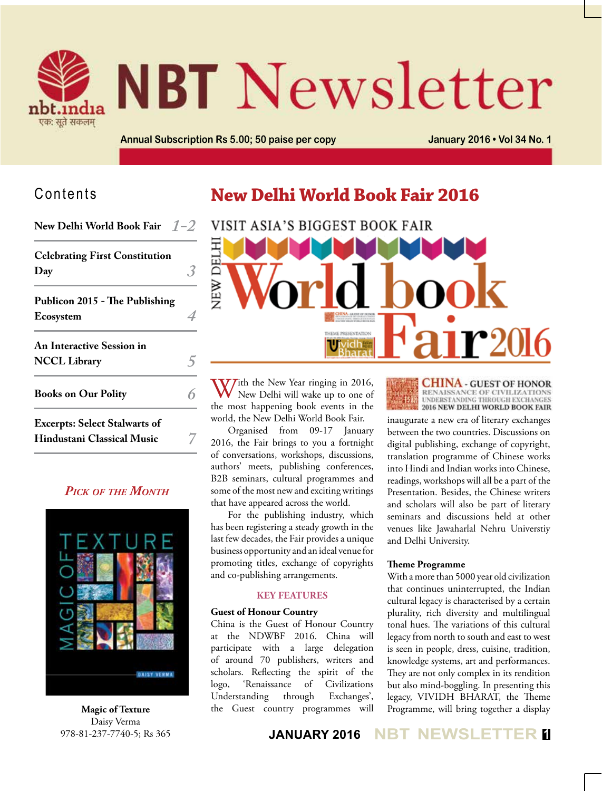

# **NBT** Newsletter

**Annual Subscription Rs 5.00; 50 paise per copy January 2016 • Vol 34 No. 1**

### Contents

**New Delhi World Book Fair** *1-2*

| <b>Celebrating First Constitution</b><br>Day                              |  |
|---------------------------------------------------------------------------|--|
| Publicon 2015 - The Publishing<br>Ecosystem                               |  |
| <b>An Interactive Session in</b><br><b>NCCL Library</b>                   |  |
| <b>Books on Our Polity</b>                                                |  |
| <b>Excerpts: Select Stalwarts of</b><br><b>Hindustani Classical Music</b> |  |

#### *Pick of the Month*



**Magic of Texture** Daisy Verma 978-81-237-7740-5; Rs 365

# **New Delhi World Book Fair 2016**



With the New Year ringing in 2016,<br>New Delhi will wake up to one of the most happening book events in the world, the New Delhi World Book Fair.

Organised from 09-17 January 2016, the Fair brings to you a fortnight of conversations, workshops, discussions, authors' meets, publishing conferences, B2B seminars, cultural programmes and some of the most new and exciting writings that have appeared across the world.

For the publishing industry, which has been registering a steady growth in the last few decades, the Fair provides a unique business opportunity and an ideal venue for promoting titles, exchange of copyrights and co-publishing arrangements.

#### **Key Features**

#### **Guest of Honour Country**

China is the Guest of Honour Country at the NDWBF 2016. China will participate with a large delegation of around 70 publishers, writers and scholars. Reflecting the spirit of the<br>logo, 'Renaissance of Civilizations logo, 'Renaissance of Civilizations Understanding through Exchanges', the Guest country programmes will

**CHINA - GUEST OF HONOR** RENAISSANCE OF CIVILIZATIONS<br>UNDERSTANDING THROUGH EXCHANGES<br>2016 NEW DELHI WORLD BOOK FAIR

inaugurate a new era of literary exchanges between the two countries. Discussions on digital publishing, exchange of copyright, translation programme of Chinese works into Hindi and Indian works into Chinese, readings, workshops will all be a part of the Presentation. Besides, the Chinese writers and scholars will also be part of literary seminars and discussions held at other venues like Jawaharlal Nehru Universtiy and Delhi University.

#### **Theme Programme**

With a more than 5000 year old civilization that continues uninterrupted, the Indian cultural legacy is characterised by a certain plurality, rich diversity and multilingual tonal hues. The variations of this cultural legacy from north to south and east to west is seen in people, dress, cuisine, tradition, knowledge systems, art and performances. They are not only complex in its rendition but also mind-boggling. In presenting this legacy, VIVIDH BHARAT, the Theme Programme, will bring together a display

**JANUARY 2016 NBT NEWSLETTER <sup>1</sup>**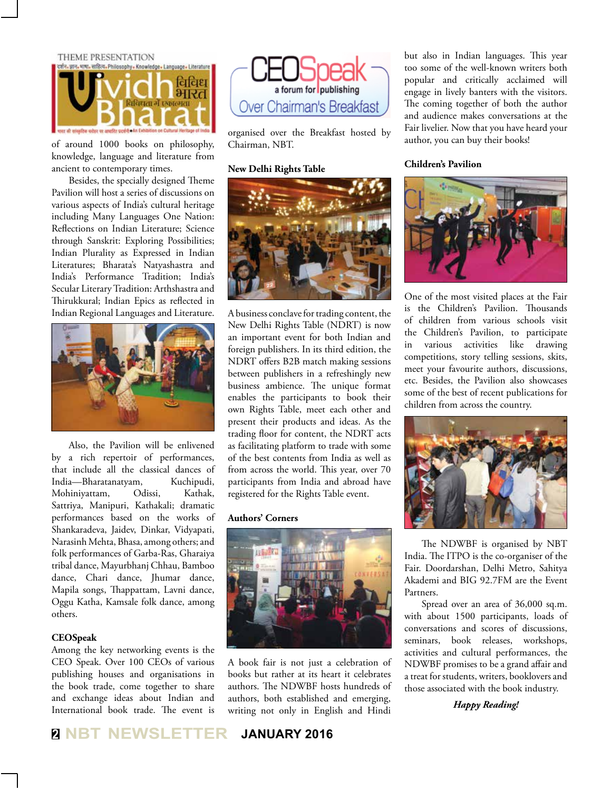THEME PRESENTATION



of around 1000 books on philosophy, knowledge, language and literature from ancient to contemporary times.

Besides, the specially designed Theme Pavilion will host a series of discussions on various aspects of India's cultural heritage including Many Languages One Nation: Reflections on Indian Literature; Science through Sanskrit: Exploring Possibilities; Indian Plurality as Expressed in Indian Literatures; Bharata's Natyashastra and India's Performance Tradition; India's Secular Literary Tradition: Arthshastra and Thirukkural; Indian Epics as reflected in Indian Regional Languages and Literature.



Also, the Pavilion will be enlivened by a rich repertoir of performances, that include all the classical dances of India—Bharatanatyam, Kuchipudi, Mohiniyattam, Odissi, Kathak, Sattriya, Manipuri, Kathakali; dramatic performances based on the works of Shankaradeva, Jaidev, Dinkar, Vidyapati, Narasinh Mehta, Bhasa, among others; and folk performances of Garba-Ras, Gharaiya tribal dance, Mayurbhanj Chhau, Bamboo dance, Chari dance, Jhumar dance, Mapila songs, Thappattam, Lavni dance, Oggu Katha, Kamsale folk dance, among others.

#### **CEOSpeak**

Among the key networking events is the CEO Speak. Over 100 CEOs of various publishing houses and organisations in the book trade, come together to share and exchange ideas about Indian and International book trade. The event is



organised over the Breakfast hosted by Chairman, NBT.

#### **New Delhi Rights Table**



A business conclave for trading content, the New Delhi Rights Table (NDRT) is now an important event for both Indian and foreign publishers. In its third edition, the NDRT offers B2B match making sessions between publishers in a refreshingly new business ambience. The unique format enables the participants to book their own Rights Table, meet each other and present their products and ideas. As the trading floor for content, the NDRT acts as facilitating platform to trade with some of the best contents from India as well as from across the world. This year, over 70 participants from India and abroad have registered for the Rights Table event.

#### **Authors' Corners**



A book fair is not just a celebration of books but rather at its heart it celebrates authors. The NDWBF hosts hundreds of authors, both established and emerging, writing not only in English and Hindi

but also in Indian languages. This year too some of the well-known writers both popular and critically acclaimed will engage in lively banters with the visitors. The coming together of both the author and audience makes conversations at the Fair livelier. Now that you have heard your author, you can buy their books!

#### **Children's Pavilion**



One of the most visited places at the Fair is the Children's Pavilion. Thousands of children from various schools visit the Children's Pavilion, to participate in various activities like drawing competitions, story telling sessions, skits, meet your favourite authors, discussions, etc. Besides, the Pavilion also showcases some of the best of recent publications for children from across the country.



The NDWBF is organised by NBT India. The ITPO is the co-organiser of the Fair. Doordarshan, Delhi Metro, Sahitya Akademi and BIG 92.7FM are the Event Partners.

Spread over an area of 36,000 sq.m. with about 1500 participants, loads of conversations and scores of discussions, seminars, book releases, workshops, activities and cultural performances, the NDWBF promises to be a grand affair and a treat for students, writers, booklovers and those associated with the book industry.

*Happy Reading!*

**<sup>2</sup> NBT NEWSLETTER JANUARY 2016**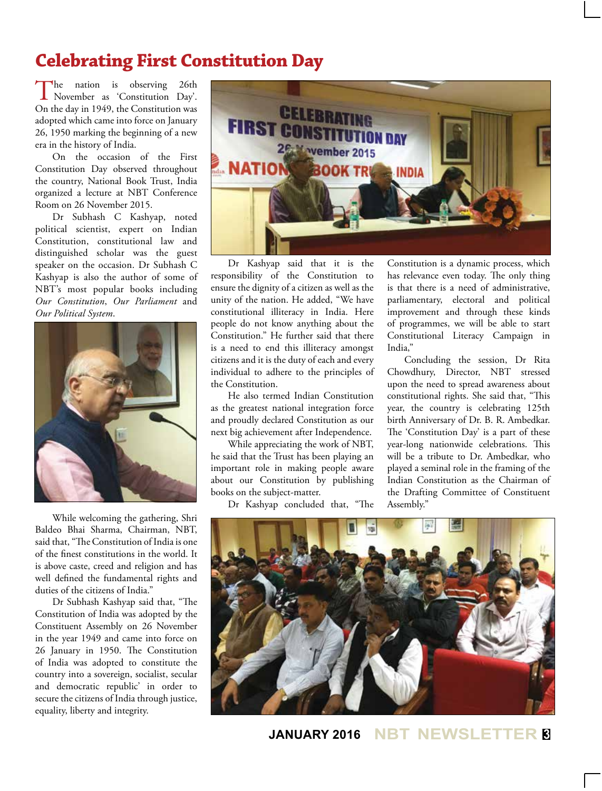# **Celebrating First Constitution Day**

The nation is observing 26th November as 'Constitution Day'. On the day in 1949, the Constitution was adopted which came into force on January 26, 1950 marking the beginning of a new era in the history of India.

On the occasion of the First Constitution Day observed throughout the country, National Book Trust, India organized a lecture at NBT Conference Room on 26 November 2015.

Dr Subhash C Kashyap, noted political scientist, expert on Indian Constitution, constitutional law and distinguished scholar was the guest speaker on the occasion. Dr Subhash C Kashyap is also the author of some of NBT's most popular books including *Our Constitution*, *Our Parliament* and *Our Political System*.



While welcoming the gathering, Shri Baldeo Bhai Sharma, Chairman, NBT, said that, "The Constitution of India is one of the finest constitutions in the world. It is above caste, creed and religion and has well defined the fundamental rights and duties of the citizens of India."

Dr Subhash Kashyap said that, "The Constitution of India was adopted by the Constituent Assembly on 26 November in the year 1949 and came into force on 26 January in 1950. The Constitution of India was adopted to constitute the country into a sovereign, socialist, secular and democratic republic' in order to secure the citizens of India through justice, equality, liberty and integrity.



Dr Kashyap said that it is the responsibility of the Constitution to ensure the dignity of a citizen as well as the unity of the nation. He added, "We have constitutional illiteracy in India. Here people do not know anything about the Constitution." He further said that there is a need to end this illiteracy amongst citizens and it is the duty of each and every individual to adhere to the principles of the Constitution.

He also termed Indian Constitution as the greatest national integration force and proudly declared Constitution as our next big achievement after Independence.

While appreciating the work of NBT, he said that the Trust has been playing an important role in making people aware about our Constitution by publishing books on the subject-matter.

Dr Kashyap concluded that, "The

Constitution is a dynamic process, which has relevance even today. The only thing is that there is a need of administrative, parliamentary, electoral and political improvement and through these kinds of programmes, we will be able to start Constitutional Literacy Campaign in India,"

Concluding the session, Dr Rita Chowdhury, Director, NBT stressed upon the need to spread awareness about constitutional rights. She said that, "This year, the country is celebrating 125th birth Anniversary of Dr. B. R. Ambedkar. The 'Constitution Day' is a part of these year-long nationwide celebrations. This will be a tribute to Dr. Ambedkar, who played a seminal role in the framing of the Indian Constitution as the Chairman of the Drafting Committee of Constituent Assembly."



**JANUARY 2016 NBT NEWSLETTER <sup>3</sup>**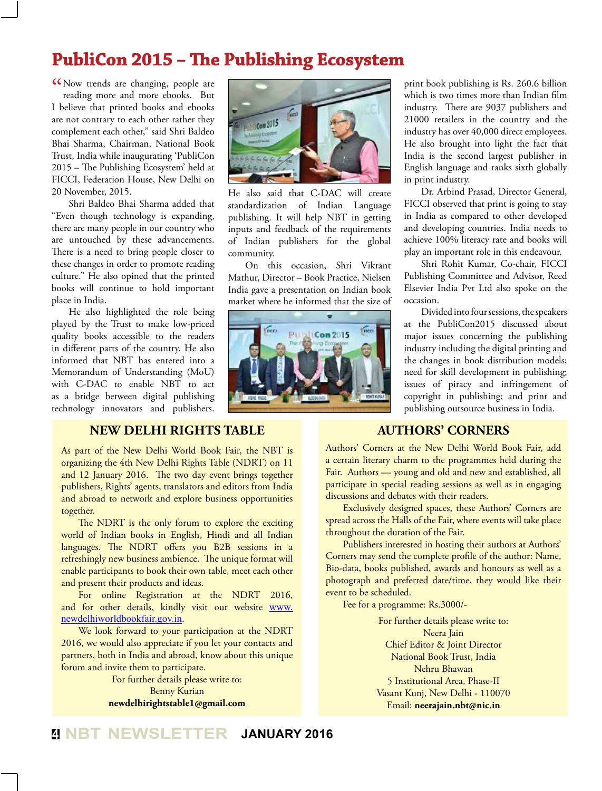# **PubliCon 2015 – The Publishing Ecosystem**

K Now trends are changing, people are<br>reading more and more ebooks. But reading more and more ebooks. But I believe that printed books and ebooks are not contrary to each other rather they complement each other," said Shri Baldeo Bhai Sharma, Chairman, National Book Trust, India while inaugurating 'PubliCon 2015 – The Publishing Ecosystem' held at FICCI, Federation House, New Delhi on 20 November, 2015.

Shri Baldeo Bhai Sharma added that "Even though technology is expanding, there are many people in our country who are untouched by these advancements. There is a need to bring people closer to these changes in order to promote reading culture." He also opined that the printed books will continue to hold important place in India.

He also highlighted the role being played by the Trust to make low-priced quality books accessible to the readers in different parts of the country. He also informed that NBT has entered into a Memorandum of Understanding (MoU) with C-DAC to enable NBT to act as a bridge between digital publishing technology innovators and publishers.

# $\frac{1}{2012015}$

He also said that C-DAC will create standardization of Indian Language publishing. It will help NBT in getting inputs and feedback of the requirements of Indian publishers for the global community.

On this occasion, Shri Vikrant Mathur, Director – Book Practice, Nielsen India gave a presentation on Indian book market where he informed that the size of



print book publishing is Rs. 260.6 billion which is two times more than Indian film industry. There are 9037 publishers and 21000 retailers in the country and the industry has over 40,000 direct employees. He also brought into light the fact that India is the second largest publisher in English language and ranks sixth globally in print industry.

Dr. Arbind Prasad, Director General, FICCI observed that print is going to stay in India as compared to other developed and developing countries. India needs to achieve 100% literacy rate and books will play an important role in this endeavour.

Shri Rohit Kumar, Co-chair, FICCI Publishing Committee and Advisor, Reed Elsevier India Pvt Ltd also spoke on the occasion.

Divided into four sessions, the speakers at the PubliCon2015 discussed about major issues concerning the publishing industry including the digital printing and the changes in book distribution models; need for skill development in publishing; issues of piracy and infringement of copyright in publishing; and print and publishing outsource business in India.

#### **New Delhi Rights Table**

As part of the New Delhi World Book Fair, the NBT is organizing the 4th New Delhi Rights Table (NDRT) on 11 and 12 January 2016. The two day event brings together publishers, Rights' agents, translators and editors from India and abroad to network and explore business opportunities together.

The NDRT is the only forum to explore the exciting world of Indian books in English, Hindi and all Indian languages. The NDRT offers you B2B sessions in a refreshingly new business ambience. The unique format will enable participants to book their own table, meet each other and present their products and ideas.

For online Registration at the NDRT 2016, and for other details, kindly visit our website www. newdelhiworldbookfair.gov.in.

We look forward to your participation at the NDRT 2016, we would also appreciate if you let your contacts and partners, both in India and abroad, know about this unique forum and invite them to participate.

For further details please write to: Benny Kurian **newdelhirightstable1@gmail.com**

#### **AUTHORS' CORNERS**

Authors' Corners at the New Delhi World Book Fair, add a certain literary charm to the programmes held during the Fair. Authors — young and old and new and established, all participate in special reading sessions as well as in engaging discussions and debates with their readers.

Exclusively designed spaces, these Authors' Corners are spread across the Halls of the Fair, where events will take place throughout the duration of the Fair.

Publishers interested in hosting their authors at Authors' Corners may send the complete profile of the author: Name, Bio-data, books published, awards and honours as well as a photograph and preferred date/time, they would like their event to be scheduled.

Fee for a programme: Rs.3000/-

For further details please write to: Neera Jain Chief Editor & Joint Director National Book Trust, India Nehru Bhawan 5 Institutional Area, Phase-II Vasant Kunj, New Delhi - 110070 Email: **neerajain.nbt@nic.in**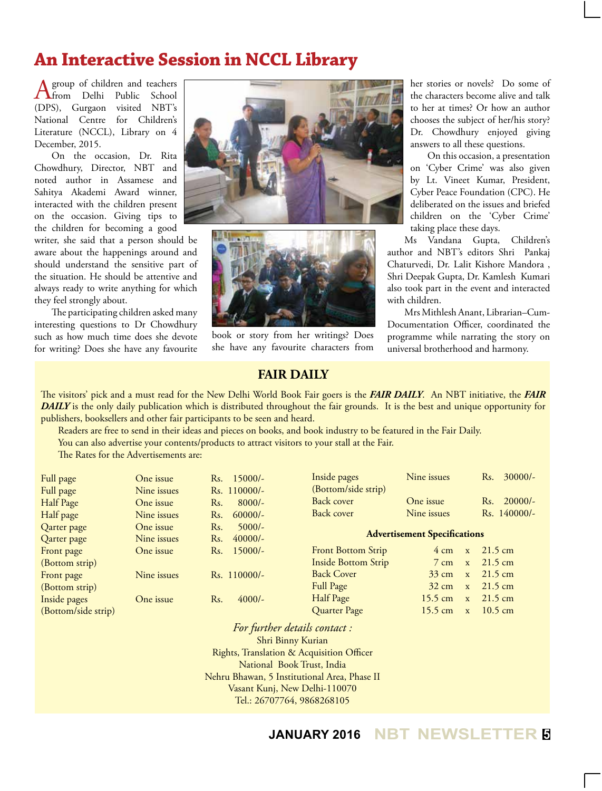# **An Interactive Session in NCCL Library**

A group of children and teachers<br>
from Delhi Public School<br>  $(DDC)$ (DPS), Gurgaon visited NBT's National Centre for Children's Literature (NCCL), Library on 4 December, 2015.

On the occasion, Dr. Rita Chowdhury, Director, NBT and noted author in Assamese and Sahitya Akademi Award winner, interacted with the children present on the occasion. Giving tips to the children for becoming a good

writer, she said that a person should be aware about the happenings around and should understand the sensitive part of the situation. He should be attentive and always ready to write anything for which they feel strongly about.

The participating children asked many interesting questions to Dr Chowdhury such as how much time does she devote for writing? Does she have any favourite





book or story from her writings? Does she have any favourite characters from

her stories or novels? Do some of the characters become alive and talk to her at times? Or how an author chooses the subject of her/his story? Dr. Chowdhury enjoyed giving answers to all these questions.

On this occasion, a presentation on 'Cyber Crime' was also given by Lt. Vineet Kumar, President, Cyber Peace Foundation (CPC). He deliberated on the issues and briefed children on the 'Cyber Crime' taking place these days.

Ms Vandana Gupta, Children's author and NBT's editors Shri Pankaj Chaturvedi, Dr. Lalit Kishore Mandora , Shri Deepak Gupta, Dr. Kamlesh Kumari also took part in the event and interacted with children.

Mrs Mithlesh Anant, Librarian–Cum-Documentation Officer, coordinated the programme while narrating the story on universal brotherhood and harmony.

#### **FAIR DAILY**

The visitors' pick and a must read for the New Delhi World Book Fair goers is the *FAIR DAILY*. An NBT initiative, the *FAIR DAILY* is the only daily publication which is distributed throughout the fair grounds. It is the best and unique opportunity for publishers, booksellers and other fair participants to be seen and heard.

Readers are free to send in their ideas and pieces on books, and book industry to be featured in the Fair Daily.

You can also advertise your contents/products to attract visitors to your stall at the Fair.

The Rates for the Advertisements are:

| Full page           | One issue   | $15000/-$<br>Rs.             | Inside pages                        | Nine issues                       | $30000/-$<br>Rs.  |
|---------------------|-------------|------------------------------|-------------------------------------|-----------------------------------|-------------------|
| Full page           | Nine issues | Rs. 110000/-                 | (Bottom/side strip)                 |                                   |                   |
| Half Page           | One issue   | $8000/-$<br>R <sub>s</sub> . | Back cover                          | One issue                         | $20000/-$<br>Rs.  |
| Half page           | Nine issues | $60000/-$<br>Rs.             | Back cover                          | Nine issues                       | Rs. 140000/-      |
| Qarter page         | One issue   | R <sub>s</sub> .<br>$5000/-$ |                                     |                                   |                   |
| Qarter page         | Nine issues | $40000/-$<br>Rs.             | <b>Advertisement Specifications</b> |                                   |                   |
| Front page          | One issue   | $15000/-$<br>Rs.             | <b>Front Bottom Strip</b>           | $4 \text{ cm}$<br>$\mathbf{x}$    | $21.5 \text{ cm}$ |
| (Bottom strip)      |             |                              | <b>Inside Bottom Strip</b>          | $7 \text{ cm}$<br>$\mathbf{x}$    | $21.5 \text{ cm}$ |
| Front page          | Nine issues | $Rs. 110000/-$               | <b>Back Cover</b>                   | $33 \text{ cm}$<br>$\mathbf{x}$   | $21.5 \text{ cm}$ |
| (Bottom strip)      |             |                              | <b>Full Page</b>                    | $32 \text{ cm}$<br>$\mathbf{x}$   | $21.5 \text{ cm}$ |
| Inside pages        | One issue   | $4000/-$<br>Rs.              | Half Page                           | $15.5 \text{ cm}$<br>$\mathbf{x}$ | $21.5 \text{ cm}$ |
| (Bottom/side strip) |             |                              | Quarter Page                        | 15.5 cm<br>$\mathbf{x}$           | $10.5 \text{ cm}$ |

*For further details contact :*  Shri Binny Kurian Rights, Translation & Acquisition Officer National Book Trust, India Nehru Bhawan, 5 Institutional Area, Phase II Vasant Kunj, New Delhi-110070 Tel.: 26707764, 9868268105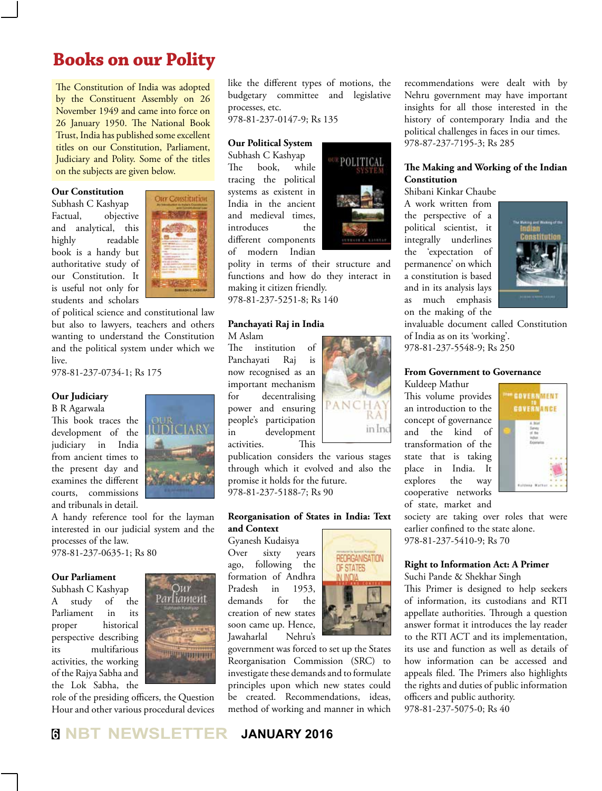# **Books on our Polity**

The Constitution of India was adopted by the Constituent Assembly on 26 November 1949 and came into force on 26 January 1950. The National Book Trust, India has published some excellent titles on our Constitution, Parliament, Judiciary and Polity. Some of the titles on the subjects are given below.

#### **Our Constitution**

Subhash C Kashyap Factual, objective and analytical, this highly readable book is a handy but authoritative study of our Constitution. It is useful not only for students and scholars



of political science and constitutional law but also to lawyers, teachers and others wanting to understand the Constitution and the political system under which we live.

978-81-237-0734-1; Rs 175

#### **Our Judiciary**

B R Agarwala

This book traces the development of the judiciary in India from ancient times to the present day and examines the different courts, commissions and tribunals in detail.



A handy reference tool for the layman interested in our judicial system and the processes of the law.

978-81-237-0635-1; Rs 80

#### **Our Parliament**

Subhash C Kashyap A study of the Parliament in its proper historical perspective describing its multifarious activities, the working of the Rajya Sabha and the Lok Sabha, the



role of the presiding officers, the Question Hour and other various procedural devices like the different types of motions, the budgetary committee and legislative processes, etc.

978-81-237-0147-9; Rs 135

#### **Our Political System**

Subhash C Kashyap The book, while tracing the political systems as existent in India in the ancient and medieval times, introduces the different components of modern Indian

polity in terms of their structure and functions and how do they interact in making it citizen friendly.

978-81-237-5251-8; Rs 140

#### **Panchayati Raj in India** M Aslam

The institution of Panchayati Raj is now recognised as an important mechanism for decentralising power and ensuring people's participation in development

in Inc activities. This publication considers the various stages through which it evolved and also the promise it holds for the future.

978-81-237-5188-7; Rs 90

#### **Reorganisation of States in India: Text and Context**

Gyanesh Kudaisya Over sixty years ago, following the formation of Andhra Pradesh in 1953, demands for the creation of new states soon came up. Hence, Jawaharlal Nehru's





#### **The Making and Working of the Indian Constitution**

Shibani Kinkar Chaube

A work written from the perspective of a political scientist, it integrally underlines the 'expectation of permanence' on which a constitution is based and in its analysis lays as much emphasis on the making of the



invaluable document called Constitution of India as on its 'working'. 978-81-237-5548-9; Rs 250

**From Government to Governance**

Kuldeep Mathur This volume provides an introduction to the concept of governance and the kind of transformation of the state that is taking place in India. It explores the way cooperative networks of state, market and



society are taking over roles that were earlier confined to the state alone. 978-81-237-5410-9; Rs 70

#### **Right to Information Act: A Primer**

Suchi Pande & Shekhar Singh

This Primer is designed to help seekers of information, its custodians and RTI appellate authorities. Through a question answer format it introduces the lay reader to the RTI ACT and its implementation, its use and function as well as details of how information can be accessed and appeals filed. The Primers also highlights the rights and duties of public information officers and public authority. 978-81-237-5075-0; Rs 40



**REORGANISATION** OF STATES

POLITICAL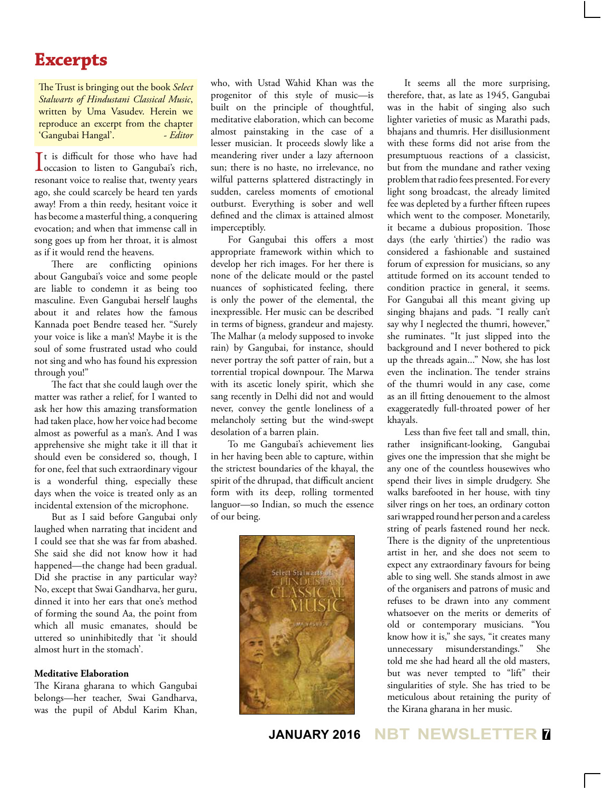## **Excerpts**

The Trust is bringing out the book *Select Stalwarts of Hindustani Classical Music*, written by Uma Vasudev. Herein we reproduce an excerpt from the chapter 'Gangubai Hangal'. - *Editor* 

It is difficult for those who have had<br>occasion to listen to Gangubai's rich, It is difficult for those who have had resonant voice to realise that, twenty years ago, she could scarcely be heard ten yards away! From a thin reedy, hesitant voice it has become a masterful thing, a conquering evocation; and when that immense call in song goes up from her throat, it is almost as if it would rend the heavens.

There are conflicting opinions about Gangubai's voice and some people are liable to condemn it as being too masculine. Even Gangubai herself laughs about it and relates how the famous Kannada poet Bendre teased her. "Surely your voice is like a man's! Maybe it is the soul of some frustrated ustad who could not sing and who has found his expression through you!"

The fact that she could laugh over the matter was rather a relief, for I wanted to ask her how this amazing transformation had taken place, how her voice had become almost as powerful as a man's. And I was apprehensive she might take it ill that it should even be considered so, though, I for one, feel that such extraordinary vigour is a wonderful thing, especially these days when the voice is treated only as an incidental extension of the microphone.

But as I said before Gangubai only laughed when narrating that incident and I could see that she was far from abashed. She said she did not know how it had happened—the change had been gradual. Did she practise in any particular way? No, except that Swai Gandharva, her guru, dinned it into her ears that one's method of forming the sound Aa, the point from which all music emanates, should be uttered so uninhibitedly that 'it should almost hurt in the stomach'.

#### **Meditative Elaboration**

The Kirana gharana to which Gangubai belongs—her teacher, Swai Gandharva, was the pupil of Abdul Karim Khan, who, with Ustad Wahid Khan was the progenitor of this style of music—is built on the principle of thoughtful, meditative elaboration, which can become almost painstaking in the case of a lesser musician. It proceeds slowly like a meandering river under a lazy afternoon sun; there is no haste, no irrelevance, no wilful patterns splattered distractingly in sudden, careless moments of emotional outburst. Everything is sober and well defined and the climax is attained almost imperceptibly.

For Gangubai this offers a most appropriate framework within which to develop her rich images. For her there is none of the delicate mould or the pastel nuances of sophisticated feeling, there is only the power of the elemental, the inexpressible. Her music can be described in terms of bigness, grandeur and majesty. The Malhar (a melody supposed to invoke rain) by Gangubai, for instance, should never portray the soft patter of rain, but a torrential tropical downpour. The Marwa with its ascetic lonely spirit, which she sang recently in Delhi did not and would never, convey the gentle loneliness of a melancholy setting but the wind-swept desolation of a barren plain.

To me Gangubai's achievement lies in her having been able to capture, within the strictest boundaries of the khayal, the spirit of the dhrupad, that difficult ancient form with its deep, rolling tormented languor—so Indian, so much the essence of our being.



It seems all the more surprising, therefore, that, as late as 1945, Gangubai was in the habit of singing also such lighter varieties of music as Marathi pads, bhajans and thumris. Her disillusionment with these forms did not arise from the presumptuous reactions of a classicist, but from the mundane and rather vexing problem that radio fees presented. For every light song broadcast, the already limited fee was depleted by a further fifteen rupees which went to the composer. Monetarily, it became a dubious proposition. Those days (the early 'thirties') the radio was considered a fashionable and sustained forum of expression for musicians, so any attitude formed on its account tended to condition practice in general, it seems. For Gangubai all this meant giving up singing bhajans and pads. "I really can't say why I neglected the thumri, however," she ruminates. "It just slipped into the background and I never bothered to pick up the threads again..." Now, she has lost even the inclination. The tender strains of the thumri would in any case, come as an ill fitting denouement to the almost exaggeratedly full-throated power of her khayals.

Less than five feet tall and small, thin, rather insignificant-looking, Gangubai gives one the impression that she might be any one of the countless housewives who spend their lives in simple drudgery. She walks barefooted in her house, with tiny silver rings on her toes, an ordinary cotton sari wrapped round her person and a careless string of pearls fastened round her neck. There is the dignity of the unpretentious artist in her, and she does not seem to expect any extraordinary favours for being able to sing well. She stands almost in awe of the organisers and patrons of music and refuses to be drawn into any comment whatsoever on the merits or demerits of old or contemporary musicians. "You know how it is," she says, "it creates many unnecessary misunderstandings." She told me she had heard all the old masters, but was never tempted to "lift" their singularities of style. She has tried to be meticulous about retaining the purity of the Kirana gharana in her music.

**JANUARY 2016 NBT NEWSLETTER <sup>7</sup>**